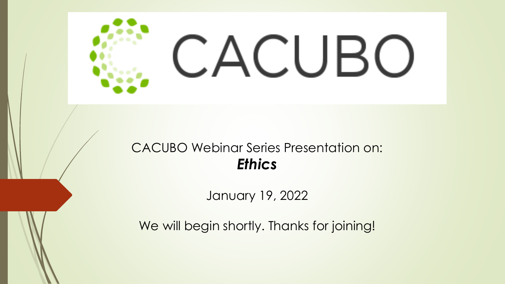

### CACUBO Webinar Series Presentation on: *Ethics*

January 19, 2022

We will begin shortly. Thanks for joining!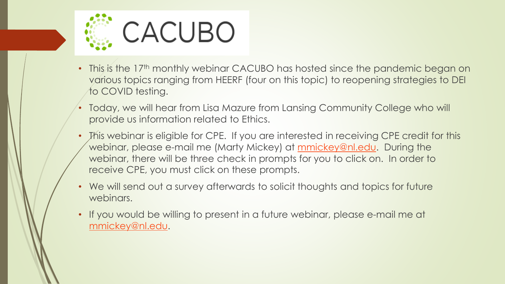

- This is the 17<sup>th</sup> monthly webinar CACUBO has hosted since the pandemic began on various topics ranging from HEERF (four on this topic) to reopening strategies to DEI to COVID testing.
- Today, we will hear from Lisa Mazure from Lansing Community College who will provide us information related to Ethics.
- This webinar is eligible for CPE. If you are interested in receiving CPE credit for this webinar, please e-mail me (Marty Mickey) at [mmickey@nl.edu](mailto:mmickey@nl.edu). During the webinar, there will be three check in prompts for you to click on. In order to receive CPE, you must click on these prompts.
- We will send out a survey afterwards to solicit thoughts and topics for future webinars.
- If you would be willing to present in a future webinar, please e-mail me at [mmickey@nl.edu.](mailto:mmickey@nl.edu)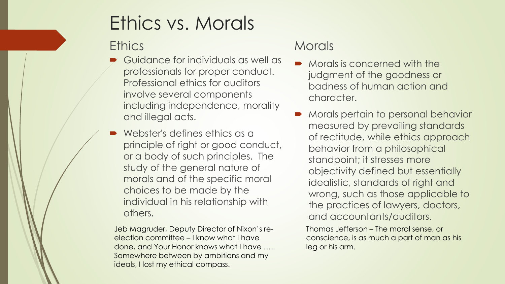# Ethics vs. Morals

#### **Ethics**

- Guidance for individuals as well as professionals for proper conduct. Professional ethics for auditors involve several components including independence, morality and illegal acts.
- Webster's defines ethics as a principle of right or good conduct, or a body of such principles. The study of the general nature of morals and of the specific moral choices to be made by the individual in his relationship with others.

Jeb Magruder, Deputy Director of Nixon's reelection committee – I know what I have done, and Your Honor knows what I have ….. Somewhere between by ambitions and my ideals, I lost my ethical compass.

#### **Morals**

- **•** Morals is concerned with the judgment of the goodness or badness of human action and character.
- Morals pertain to personal behavior measured by prevailing standards of rectitude, while ethics approach behavior from a philosophical standpoint; it stresses more objectivity defined but essentially idealistic, standards of right and wrong, such as those applicable to the practices of lawyers, doctors, and accountants/auditors.

Thomas Jefferson – The moral sense, or conscience, is as much a part of man as his leg or his arm.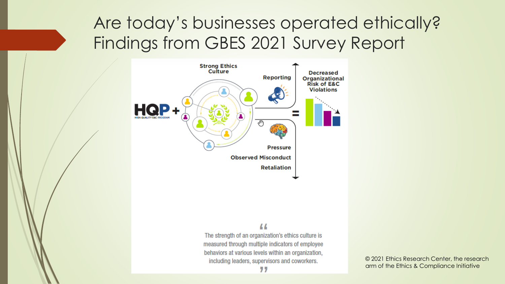

#### $\mu$

The strength of an organization's ethics culture is measured through multiple indicators of employee behaviors at various levels within an organization, including leaders, supervisors and coworkers.

77

© 2021 Ethics Research Center, the research arm of the Ethics & Compliance Initiative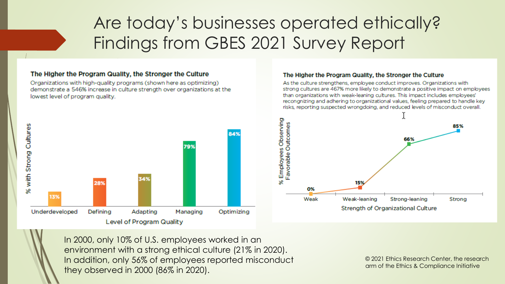#### The Higher the Program Quality, the Stronger the Culture

Organizations with high-quality programs (shown here as optimizing) demonstrate a 546% increase in culture strength over organizations at the lowest level of program quality.



#### The Higher the Program Quality, the Stronger the Culture

As the culture strengthens, employee conduct improves, Organizations with strong cultures are 467% more likely to demonstrate a positive impact on employees than organizations with weak-leaning cultures. This impact includes employees' recongnizing and adhering to organizational values, feeling prepared to handle key risks, reporting suspected wrongdoing, and reduced levels of misconduct overall.



In 2000, only 10% of U.S. employees worked in an environment with a strong ethical culture (21% in 2020). In addition, only 56% of employees reported misconduct they observed in 2000 (86% in 2020).

© 2021 Ethics Research Center, the research arm of the Ethics & Compliance Initiative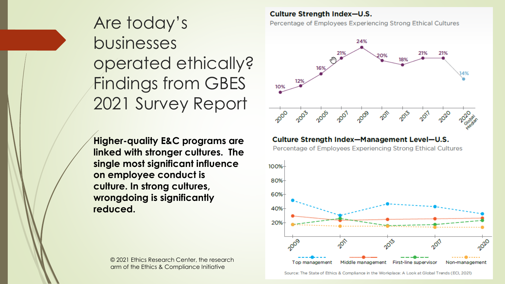**Higher-quality E&C programs are linked with stronger cultures. The single most significant influence on employee conduct is culture. In strong cultures, wrongdoing is significantly reduced.**

> © 2021 Ethics Research Center, the research arm of the Ethics & Compliance Initiative

**Culture Strength Index-U.S.** 

Percentage of Employees Experiencing Strong Ethical Cultures



#### Culture Strength Index-Management Level-U.S.

Percentage of Employees Experiencing Strong Ethical Cultures

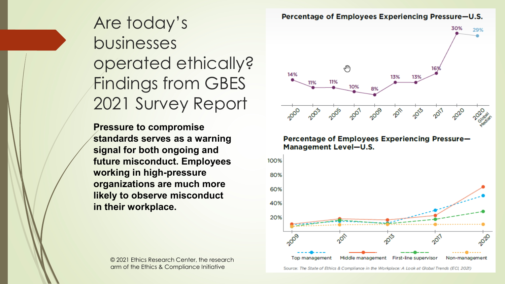**Pressure to compromise standards serves as a warning signal for both ongoing and future misconduct. Employees working in high-pressure organizations are much more likely to observe misconduct in their workplace.**

> © 2021 Ethics Research Center, the research arm of the Ethics & Compliance Initiative





# 14% 13% 11% 10%

Percentage of Employees Experiencing Pressure-U.S.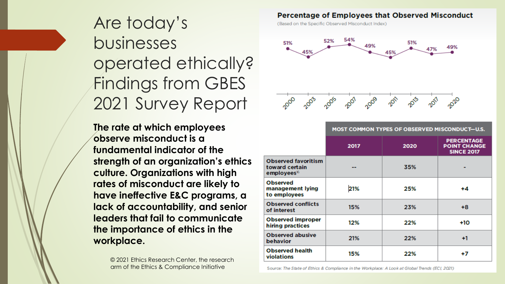**The rate at which employees observe misconduct is a fundamental indicator of the strength of an organization's ethics culture. Organizations with high rates of misconduct are likely to have ineffective E&C programs, a lack of accountability, and senior leaders that fail to communicate the importance of ethics in the workplace.**

> © 2021 Ethics Research Center, the research arm of the Ethics & Compliance Initiative

#### Percentage of Employees that Observed Misconduct

(Based on the Specific Observed Misconduct Index)



|                                                                        | MOST COMMON TYPES OF OBSERVED MISCONDUCT-U.S. |      |                                                               |
|------------------------------------------------------------------------|-----------------------------------------------|------|---------------------------------------------------------------|
|                                                                        | 2017                                          | 2020 | <b>PERCENTAGE</b><br><b>POINT CHANGE</b><br><b>SINCE 2017</b> |
| <b>Observed favoritism</b><br>toward certain<br>employees <sup>®</sup> |                                               | 35%  |                                                               |
| <b>Observed</b><br>management lying<br>to employees                    | 21%                                           | 25%  | +4                                                            |
| <b>Observed conflicts</b><br>of interest                               | 15%                                           | 23%  | +8                                                            |
| <b>Observed improper</b><br>hiring practices                           | 12%                                           | 22%  | +10                                                           |
| <b>Observed abusive</b><br>behavior                                    | 21%                                           | 22%  | +1                                                            |
| <b>Observed health</b><br>violations                                   | 15%                                           | 22%  | +7                                                            |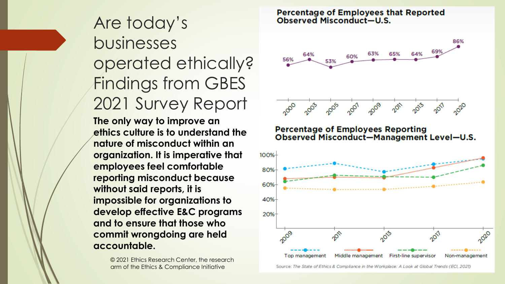Are today's businesses operated ethically? Findings from GBES 2021 Survey Report **The only way to improve an ethics culture is to understand the nature of misconduct within an organization. It is imperative that employees feel comfortable reporting misconduct because without said reports, it is impossible for organizations to develop effective E&C programs and to ensure that those who commit wrongdoing are held accountable.**

> © 2021 Ethics Research Center, the research arm of the Ethics & Compliance Initiative

Percentage of Employees that Reported<br>Observed Misconduct-U.S.

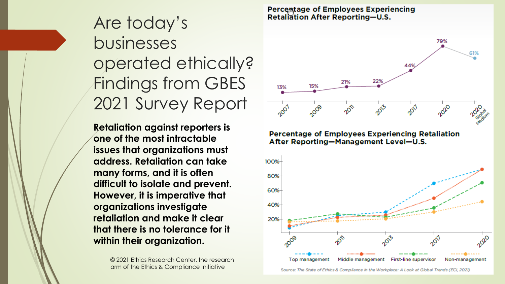**Retaliation against reporters is one of the most intractable issues that organizations must address. Retaliation can take many forms, and it is often difficult to isolate and prevent. However, it is imperative that organizations investigate retaliation and make it clear that there is no tolerance for it within their organization.**

> © 2021 Ethics Research Center, the research arm of the Ethics & Compliance Initiative

**Percentage of Employees Experiencing Retaliation After Reporting-U.S.** 





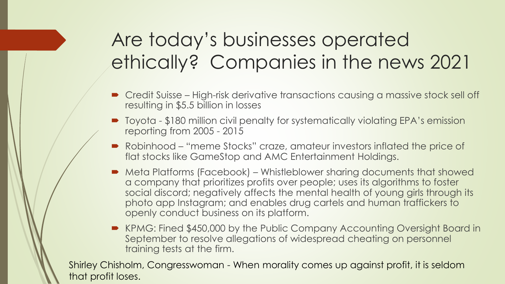# Are today's businesses operated ethically? Companies in the news 2021

- Credit Suisse High-risk derivative transactions causing a massive stock sell off resulting in \$5.5 billion in losses
- Toyota \$180 million civil penalty for systematically violating EPA's emission reporting from 2005 - 2015
- Robinhood "meme Stocks" craze, amateur investors inflated the price of flat stocks like GameStop and AMC Entertainment Holdings.
- Meta Platforms (Facebook) Whistleblower sharing documents that showed a company that prioritizes profits over people; uses its algorithms to foster social discord; negatively affects the mental health of young girls through its photo app Instagram; and enables drug cartels and human traffickers to openly conduct business on its platform.
- KPMG: Fined \$450,000 by the Public Company Accounting Oversight Board in September to resolve allegations of widespread cheating on personnel training tests at the firm.

Shirley Chisholm, Congresswoman - When morality comes up against profit, it is seldom that profit loses.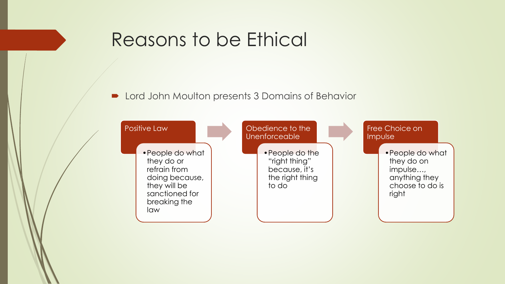### Reasons to be Ethical

**D** Lord John Moulton presents 3 Domains of Behavior

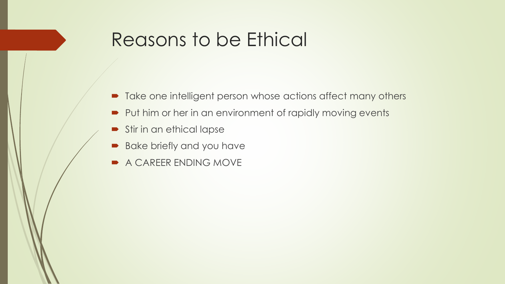## Reasons to be Ethical

- Take one intelligent person whose actions affect many others
- Put him or her in an environment of rapidly moving events
- Stir in an ethical lapse
- **Bake briefly and you have**
- A CAREER ENDING MOVE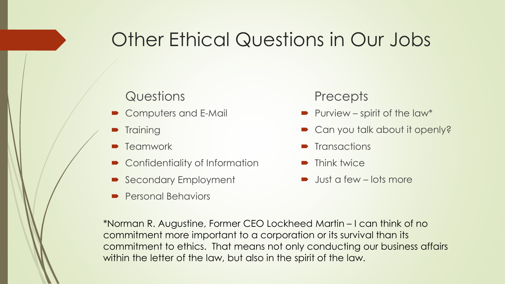## Other Ethical Questions in Our Jobs

#### **Questions**

- Computers and E-Mail
- **Training**
- **Teamwork**
- Confidentiality of Information
- Secondary Employment
- Personal Behaviors

#### **Precepts**

- Purview spirit of the law\*
- Can you talk about it openly?
- **Transactions**
- **Think twice**
- $\rightarrow$  Just a few lots more

\*Norman R. Augustine, Former CEO Lockheed Martin – I can think of no commitment more important to a corporation or its survival than its commitment to ethics. That means not only conducting our business affairs within the letter of the law, but also in the spirit of the law.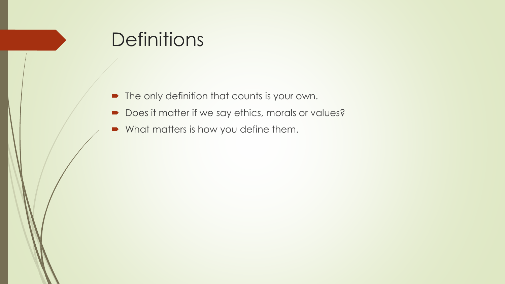## **Definitions**

- **•** The only definition that counts is your own.
- Does it matter if we say ethics, morals or values?
- What matters is how you define them.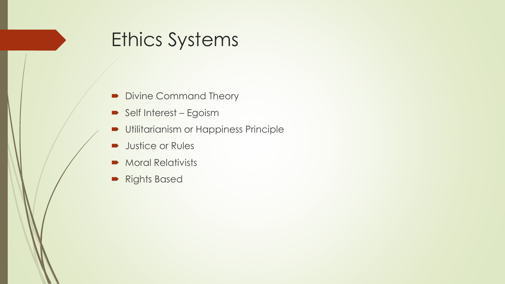## Ethics Systems

- Divine Command Theory
- Self Interest Egoism
- **Utilitarianism or Happiness Principle**
- **Justice or Rules**
- **Moral Relativists**
- **Rights Based**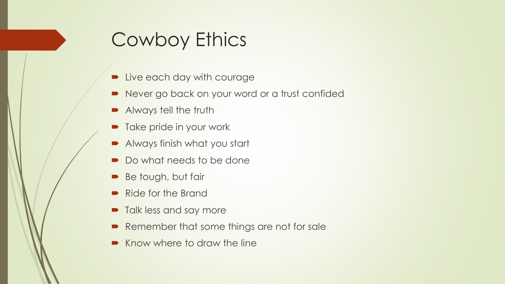# Cowboy Ethics

- **D** Live each day with courage
- Never go back on your word or a trust confided
- Always tell the truth
- Take pride in your work
- Always finish what you start
- Do what needs to be done
- Be tough, but fair
- Ride for the Brand
- Talk less and say more
- Remember that some things are not for sale
- Know where to draw the line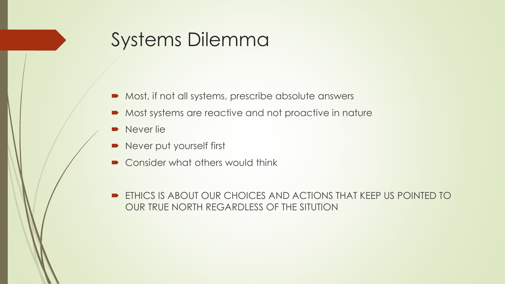## Systems Dilemma

- Most, if not all systems, prescribe absolute answers
- **Most systems are reactive and not proactive in nature**
- Never lie
- Never put yourself first
- Consider what others would think
- **ETHICS IS ABOUT OUR CHOICES AND ACTIONS THAT KEEP US POINTED TO** OUR TRUE NORTH REGARDLESS OF THE SITUTION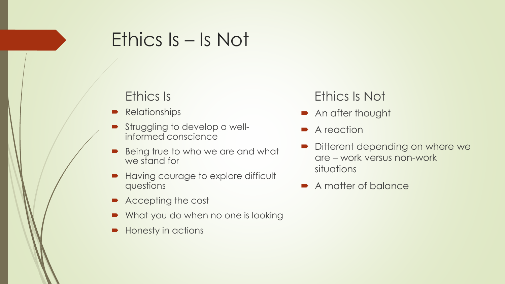### Ethics Is – Is Not

#### Ethics Is

- **Relationships**
- **Struggling to develop a well**informed conscience
- Being true to who we are and what we stand for
- **Having courage to explore difficult** questions
- Accepting the cost
- What you do when no one is looking
- Honesty in actions

#### Ethics Is Not

- **An after thought**
- **A** reaction
- Different depending on where we are – work versus non-work situations
- A matter of balance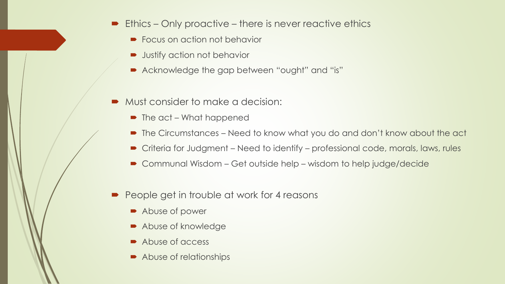- Ethics Only proactive there is never reactive ethics
	- Focus on action not behavior
	- **D** Justify action not behavior
	- Acknowledge the gap between "ought" and "is"
- Must consider to make a decision:
	- The act What happened
	- The Circumstances Need to know what you do and don't know about the act
	- Criteria for Judgment Need to identify professional code, morals, laws, rules
	- Communal Wisdom Get outside help wisdom to help judge/decide
- People get in trouble at work for 4 reasons
	- Abuse of power
	- Abuse of knowledge
	- Abuse of access
	- Abuse of relationships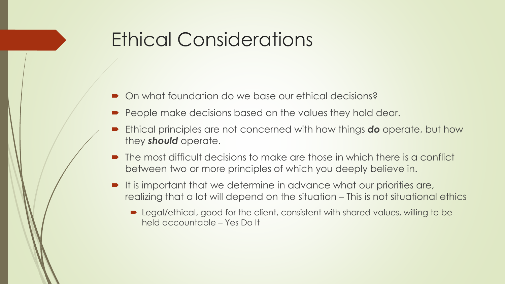## Ethical Considerations

- On what foundation do we base our ethical decisions?
- **People make decisions based on the values they hold dear.**
- Ethical principles are not concerned with how things *do* operate, but how they *should* operate.
- The most difficult decisions to make are those in which there is a conflict between two or more principles of which you deeply believe in.
- $\blacksquare$  It is important that we determine in advance what our priorities are, realizing that a lot will depend on the situation – This is not situational ethics
	- Legal/ethical, good for the client, consistent with shared values, willing to be held accountable – Yes Do It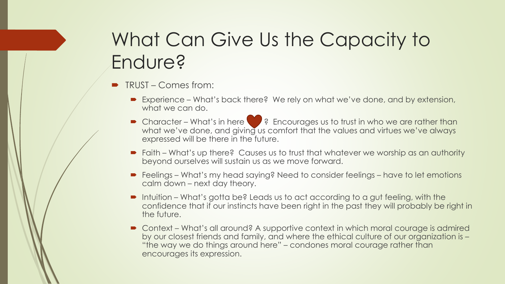# What Can Give Us the Capacity to Endure?

- TRUST Comes from:
	- Experience What's back there? We rely on what we've done, and by extension, what we can do.
	- Character What's in here <br>
	→ Character What's in here 29 Photoges us to trust in who we are rather than what we've done, and giving us comfort that the values and virtues we've always expressed will be there in the future.
	- Faith What's up there? Causes us to trust that whatever we worship as an authority beyond ourselves will sustain us as we move forward.
	- Feelings What's my head saying? Need to consider feelings have to let emotions calm down – next day theory.
	- Intuition What's gotta be? Leads us to act according to a gut feeling, with the confidence that if our instincts have been right in the past they will probably be right in the future.
	- Context What's all around? A supportive context in which moral courage is admired by our closest friends and family, and where the ethical culture of our organization is – "the way we do things around here" – condones moral courage rather than encourages its expression.